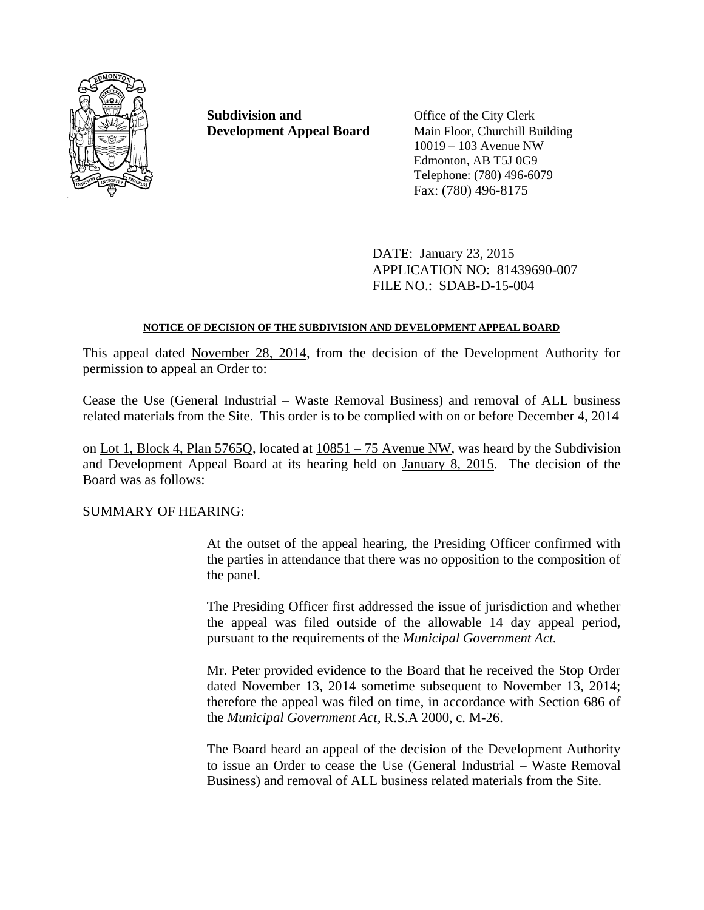

**Subdivision and** Office of the City Clerk **Development Appeal Board** Main Floor, Churchill Building

10019 – 103 Avenue NW Edmonton, AB T5J 0G9 Telephone: (780) 496-6079 Fax: (780) 496-8175

DATE: January 23, 2015 APPLICATION NO: 81439690-007 FILE NO.: SDAB-D-15-004

# **NOTICE OF DECISION OF THE SUBDIVISION AND DEVELOPMENT APPEAL BOARD**

This appeal dated November 28, 2014, from the decision of the Development Authority for permission to appeal an Order to:

Cease the Use (General Industrial – Waste Removal Business) and removal of ALL business related materials from the Site. This order is to be complied with on or before December 4, 2014

on Lot 1, Block 4, Plan 5765Q, located at  $10851 - 75$  Avenue NW, was heard by the Subdivision and Development Appeal Board at its hearing held on January 8, 2015. The decision of the Board was as follows:

SUMMARY OF HEARING:

At the outset of the appeal hearing, the Presiding Officer confirmed with the parties in attendance that there was no opposition to the composition of the panel.

The Presiding Officer first addressed the issue of jurisdiction and whether the appeal was filed outside of the allowable 14 day appeal period, pursuant to the requirements of the *Municipal Government Act.*

Mr. Peter provided evidence to the Board that he received the Stop Order dated November 13, 2014 sometime subsequent to November 13, 2014; therefore the appeal was filed on time, in accordance with Section 686 of the *Municipal Government Act*, R.S.A 2000, c. M-26.

The Board heard an appeal of the decision of the Development Authority to issue an Order to cease the Use (General Industrial – Waste Removal Business) and removal of ALL business related materials from the Site.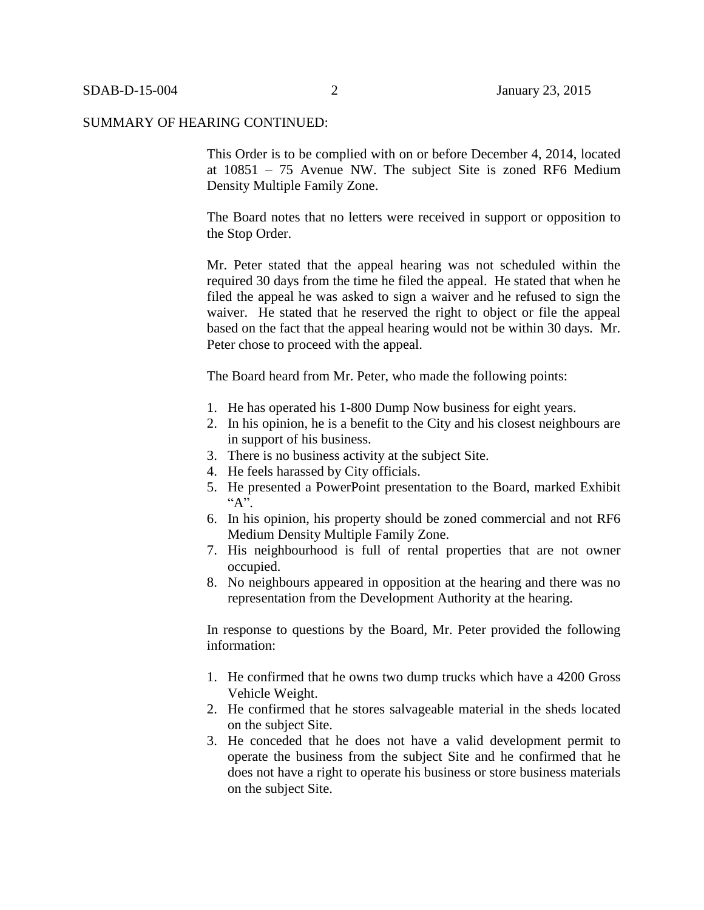This Order is to be complied with on or before December 4, 2014, located at 10851 – 75 Avenue NW. The subject Site is zoned RF6 Medium Density Multiple Family Zone.

The Board notes that no letters were received in support or opposition to the Stop Order.

Mr. Peter stated that the appeal hearing was not scheduled within the required 30 days from the time he filed the appeal. He stated that when he filed the appeal he was asked to sign a waiver and he refused to sign the waiver. He stated that he reserved the right to object or file the appeal based on the fact that the appeal hearing would not be within 30 days. Mr. Peter chose to proceed with the appeal.

The Board heard from Mr. Peter, who made the following points:

- 1. He has operated his 1-800 Dump Now business for eight years.
- 2. In his opinion, he is a benefit to the City and his closest neighbours are in support of his business.
- 3. There is no business activity at the subject Site.
- 4. He feels harassed by City officials.
- 5. He presented a PowerPoint presentation to the Board, marked Exhibit  $A$ ".
- 6. In his opinion, his property should be zoned commercial and not RF6 Medium Density Multiple Family Zone.
- 7. His neighbourhood is full of rental properties that are not owner occupied.
- 8. No neighbours appeared in opposition at the hearing and there was no representation from the Development Authority at the hearing.

In response to questions by the Board, Mr. Peter provided the following information:

- 1. He confirmed that he owns two dump trucks which have a 4200 Gross Vehicle Weight.
- 2. He confirmed that he stores salvageable material in the sheds located on the subject Site.
- 3. He conceded that he does not have a valid development permit to operate the business from the subject Site and he confirmed that he does not have a right to operate his business or store business materials on the subject Site.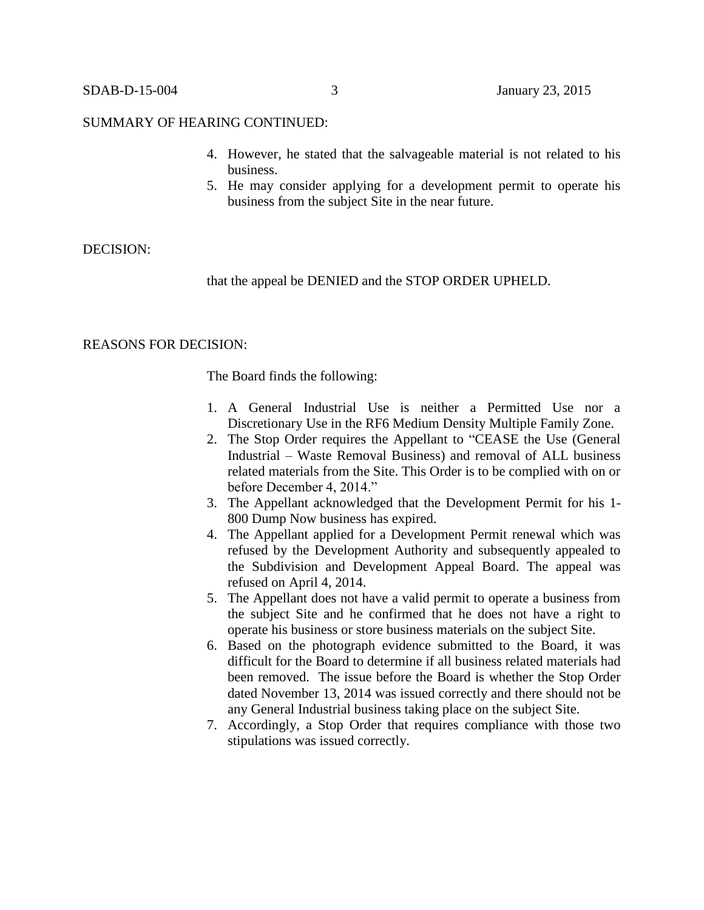- 4. However, he stated that the salvageable material is not related to his business.
- 5. He may consider applying for a development permit to operate his business from the subject Site in the near future.

### DECISION:

that the appeal be DENIED and the STOP ORDER UPHELD.

### REASONS FOR DECISION:

The Board finds the following:

- 1. A General Industrial Use is neither a Permitted Use nor a Discretionary Use in the RF6 Medium Density Multiple Family Zone.
- 2. The Stop Order requires the Appellant to "CEASE the Use (General Industrial – Waste Removal Business) and removal of ALL business related materials from the Site. This Order is to be complied with on or before December 4, 2014."
- 3. The Appellant acknowledged that the Development Permit for his 1- 800 Dump Now business has expired.
- 4. The Appellant applied for a Development Permit renewal which was refused by the Development Authority and subsequently appealed to the Subdivision and Development Appeal Board. The appeal was refused on April 4, 2014.
- 5. The Appellant does not have a valid permit to operate a business from the subject Site and he confirmed that he does not have a right to operate his business or store business materials on the subject Site.
- 6. Based on the photograph evidence submitted to the Board, it was difficult for the Board to determine if all business related materials had been removed. The issue before the Board is whether the Stop Order dated November 13, 2014 was issued correctly and there should not be any General Industrial business taking place on the subject Site.
- 7. Accordingly, a Stop Order that requires compliance with those two stipulations was issued correctly.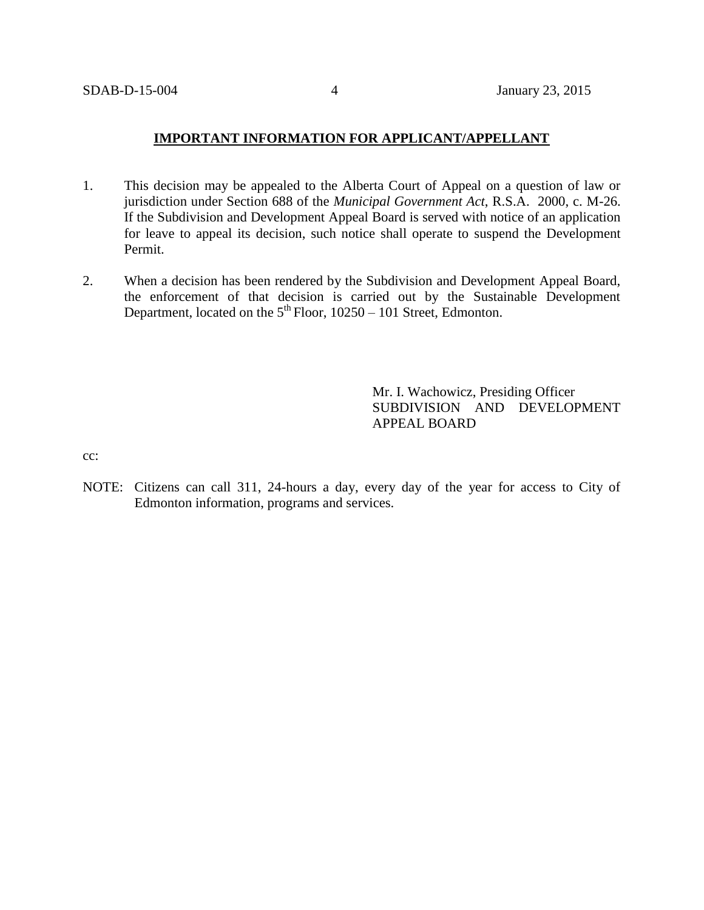### **IMPORTANT INFORMATION FOR APPLICANT/APPELLANT**

- 1. This decision may be appealed to the Alberta Court of Appeal on a question of law or jurisdiction under Section 688 of the *Municipal Government Act*, R.S.A. 2000, c. M-26. If the Subdivision and Development Appeal Board is served with notice of an application for leave to appeal its decision, such notice shall operate to suspend the Development Permit.
- 2. When a decision has been rendered by the Subdivision and Development Appeal Board, the enforcement of that decision is carried out by the Sustainable Development Department, located on the  $5<sup>th</sup>$  Floor, 10250 – 101 Street, Edmonton.

Mr. I. Wachowicz, Presiding Officer SUBDIVISION AND DEVELOPMENT APPEAL BOARD

cc:

NOTE: Citizens can call 311, 24-hours a day, every day of the year for access to City of Edmonton information, programs and services.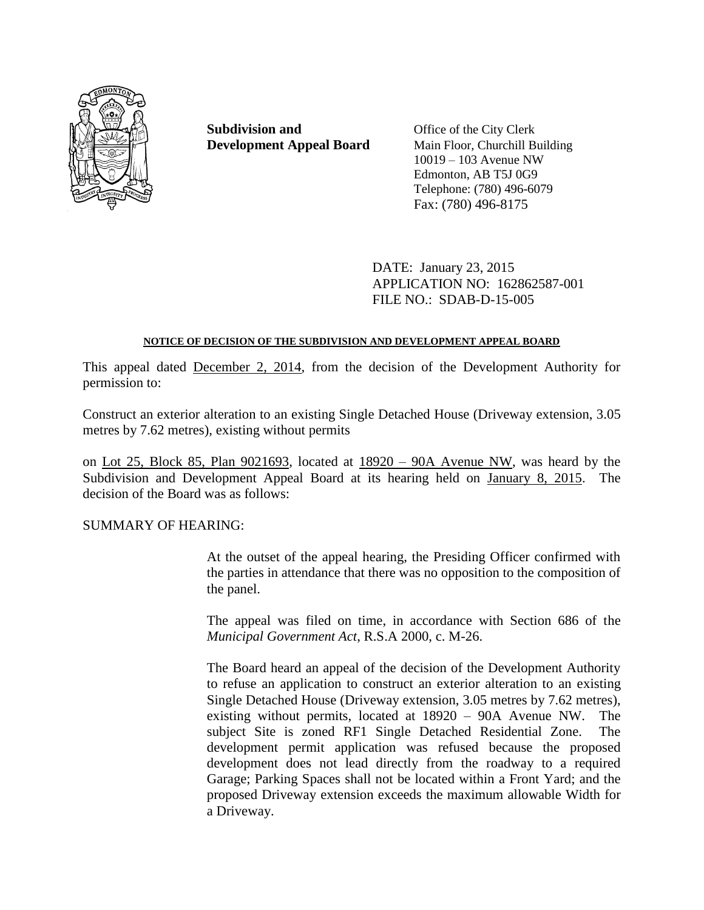

**Subdivision and** Office of the City Clerk

**Development Appeal Board** Main Floor, Churchill Building 10019 – 103 Avenue NW Edmonton, AB T5J 0G9 Telephone: (780) 496-6079 Fax: (780) 496-8175

> DATE: January 23, 2015 APPLICATION NO: 162862587-001 FILE NO.: SDAB-D-15-005

# **NOTICE OF DECISION OF THE SUBDIVISION AND DEVELOPMENT APPEAL BOARD**

This appeal dated December 2, 2014, from the decision of the Development Authority for permission to:

Construct an exterior alteration to an existing Single Detached House (Driveway extension, 3.05 metres by 7.62 metres), existing without permits

on Lot 25, Block 85, Plan 9021693, located at 18920 – 90A Avenue NW, was heard by the Subdivision and Development Appeal Board at its hearing held on January 8, 2015. The decision of the Board was as follows:

# SUMMARY OF HEARING:

At the outset of the appeal hearing, the Presiding Officer confirmed with the parties in attendance that there was no opposition to the composition of the panel.

The appeal was filed on time, in accordance with Section 686 of the *Municipal Government Act*, R.S.A 2000, c. M-26.

The Board heard an appeal of the decision of the Development Authority to refuse an application to construct an exterior alteration to an existing Single Detached House (Driveway extension, 3.05 metres by 7.62 metres), existing without permits, located at 18920 – 90A Avenue NW. The subject Site is zoned RF1 Single Detached Residential Zone. The development permit application was refused because the proposed development does not lead directly from the roadway to a required Garage; Parking Spaces shall not be located within a Front Yard; and the proposed Driveway extension exceeds the maximum allowable Width for a Driveway.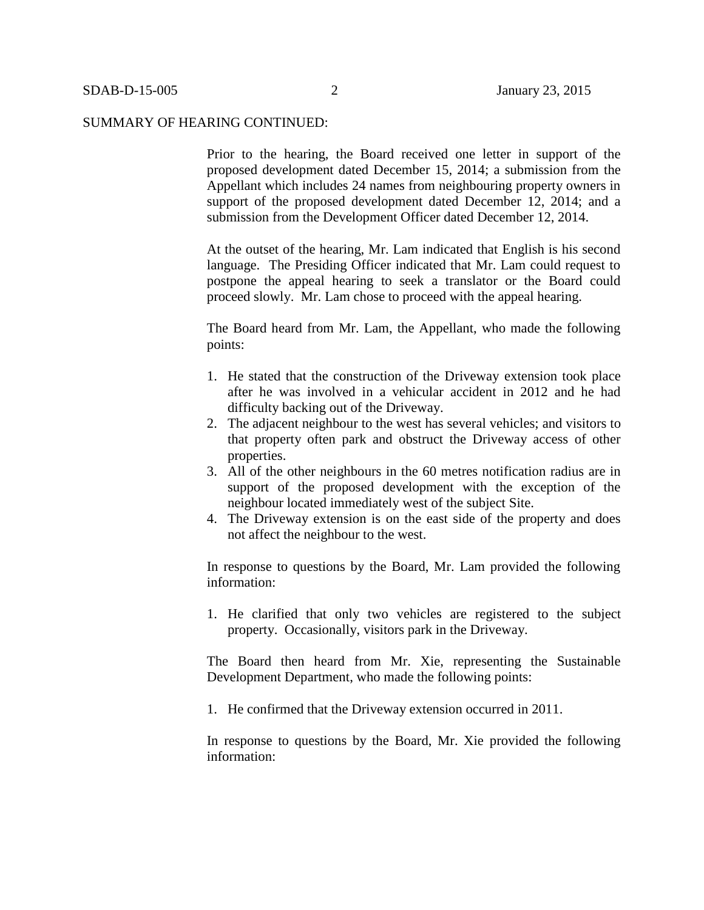Prior to the hearing, the Board received one letter in support of the proposed development dated December 15, 2014; a submission from the Appellant which includes 24 names from neighbouring property owners in support of the proposed development dated December 12, 2014; and a submission from the Development Officer dated December 12, 2014.

At the outset of the hearing, Mr. Lam indicated that English is his second language. The Presiding Officer indicated that Mr. Lam could request to postpone the appeal hearing to seek a translator or the Board could proceed slowly. Mr. Lam chose to proceed with the appeal hearing.

The Board heard from Mr. Lam, the Appellant, who made the following points:

- 1. He stated that the construction of the Driveway extension took place after he was involved in a vehicular accident in 2012 and he had difficulty backing out of the Driveway.
- 2. The adjacent neighbour to the west has several vehicles; and visitors to that property often park and obstruct the Driveway access of other properties.
- 3. All of the other neighbours in the 60 metres notification radius are in support of the proposed development with the exception of the neighbour located immediately west of the subject Site.
- 4. The Driveway extension is on the east side of the property and does not affect the neighbour to the west.

In response to questions by the Board, Mr. Lam provided the following information:

1. He clarified that only two vehicles are registered to the subject property. Occasionally, visitors park in the Driveway.

The Board then heard from Mr. Xie, representing the Sustainable Development Department, who made the following points:

1. He confirmed that the Driveway extension occurred in 2011.

In response to questions by the Board, Mr. Xie provided the following information: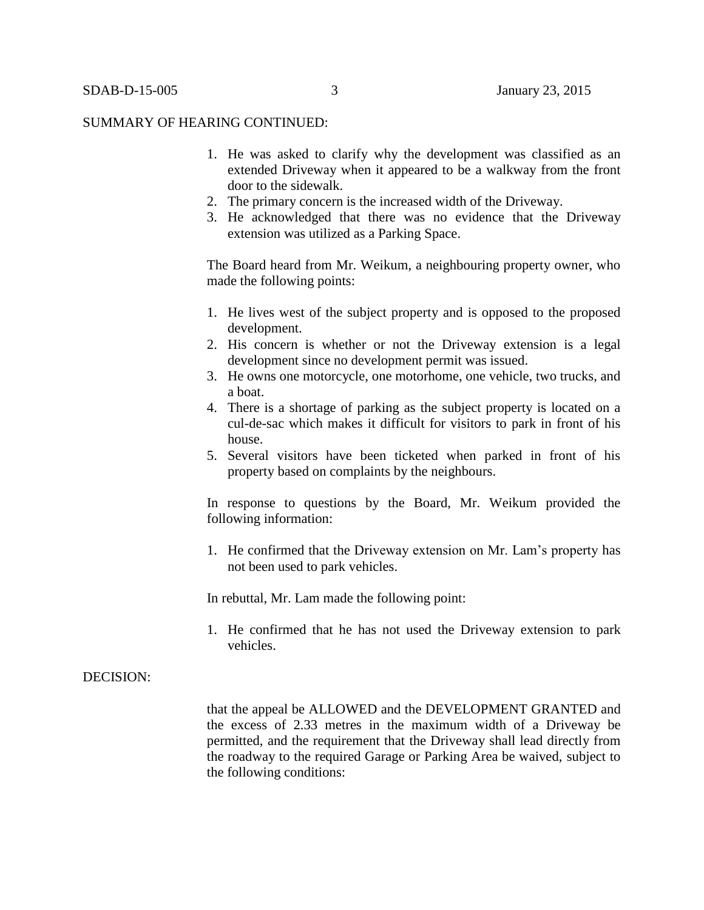- 1. He was asked to clarify why the development was classified as an extended Driveway when it appeared to be a walkway from the front door to the sidewalk.
- 2. The primary concern is the increased width of the Driveway.
- 3. He acknowledged that there was no evidence that the Driveway extension was utilized as a Parking Space.

The Board heard from Mr. Weikum, a neighbouring property owner, who made the following points:

- 1. He lives west of the subject property and is opposed to the proposed development.
- 2. His concern is whether or not the Driveway extension is a legal development since no development permit was issued.
- 3. He owns one motorcycle, one motorhome, one vehicle, two trucks, and a boat.
- 4. There is a shortage of parking as the subject property is located on a cul-de-sac which makes it difficult for visitors to park in front of his house.
- 5. Several visitors have been ticketed when parked in front of his property based on complaints by the neighbours.

In response to questions by the Board, Mr. Weikum provided the following information:

1. He confirmed that the Driveway extension on Mr. Lam's property has not been used to park vehicles.

In rebuttal, Mr. Lam made the following point:

1. He confirmed that he has not used the Driveway extension to park vehicles.

### DECISION:

that the appeal be ALLOWED and the DEVELOPMENT GRANTED and the excess of 2.33 metres in the maximum width of a Driveway be permitted, and the requirement that the Driveway shall lead directly from the roadway to the required Garage or Parking Area be waived, subject to the following conditions: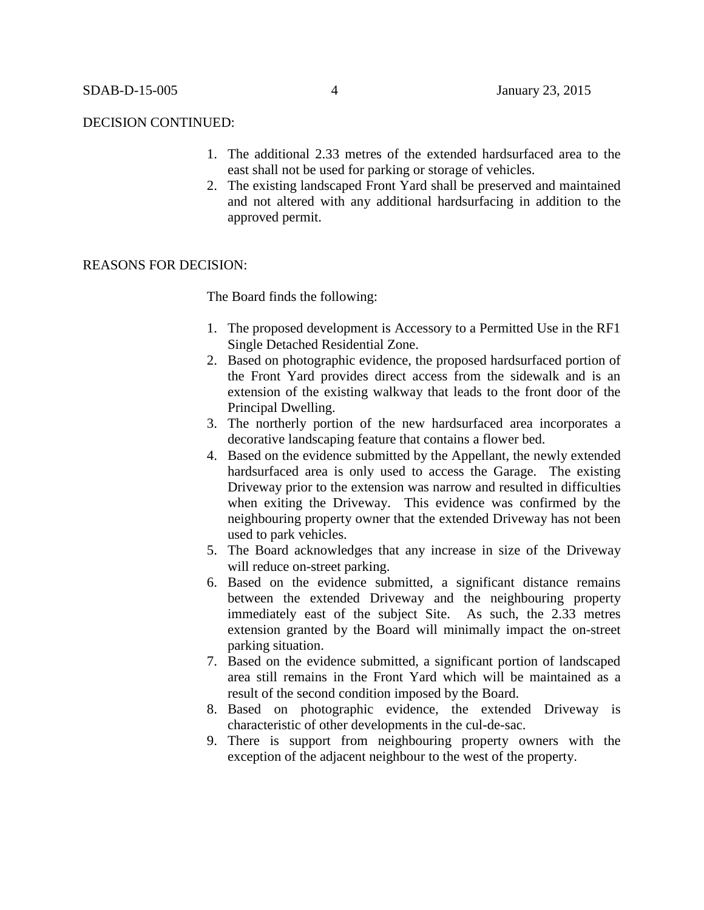#### DECISION CONTINUED:

- 1. The additional 2.33 metres of the extended hardsurfaced area to the east shall not be used for parking or storage of vehicles.
- 2. The existing landscaped Front Yard shall be preserved and maintained and not altered with any additional hardsurfacing in addition to the approved permit.

# REASONS FOR DECISION:

The Board finds the following:

- 1. The proposed development is Accessory to a Permitted Use in the RF1 Single Detached Residential Zone.
- 2. Based on photographic evidence, the proposed hardsurfaced portion of the Front Yard provides direct access from the sidewalk and is an extension of the existing walkway that leads to the front door of the Principal Dwelling.
- 3. The northerly portion of the new hardsurfaced area incorporates a decorative landscaping feature that contains a flower bed.
- 4. Based on the evidence submitted by the Appellant, the newly extended hardsurfaced area is only used to access the Garage. The existing Driveway prior to the extension was narrow and resulted in difficulties when exiting the Driveway. This evidence was confirmed by the neighbouring property owner that the extended Driveway has not been used to park vehicles.
- 5. The Board acknowledges that any increase in size of the Driveway will reduce on-street parking.
- 6. Based on the evidence submitted, a significant distance remains between the extended Driveway and the neighbouring property immediately east of the subject Site. As such, the 2.33 metres extension granted by the Board will minimally impact the on-street parking situation.
- 7. Based on the evidence submitted, a significant portion of landscaped area still remains in the Front Yard which will be maintained as a result of the second condition imposed by the Board.
- 8. Based on photographic evidence, the extended Driveway is characteristic of other developments in the cul-de-sac.
- 9. There is support from neighbouring property owners with the exception of the adjacent neighbour to the west of the property.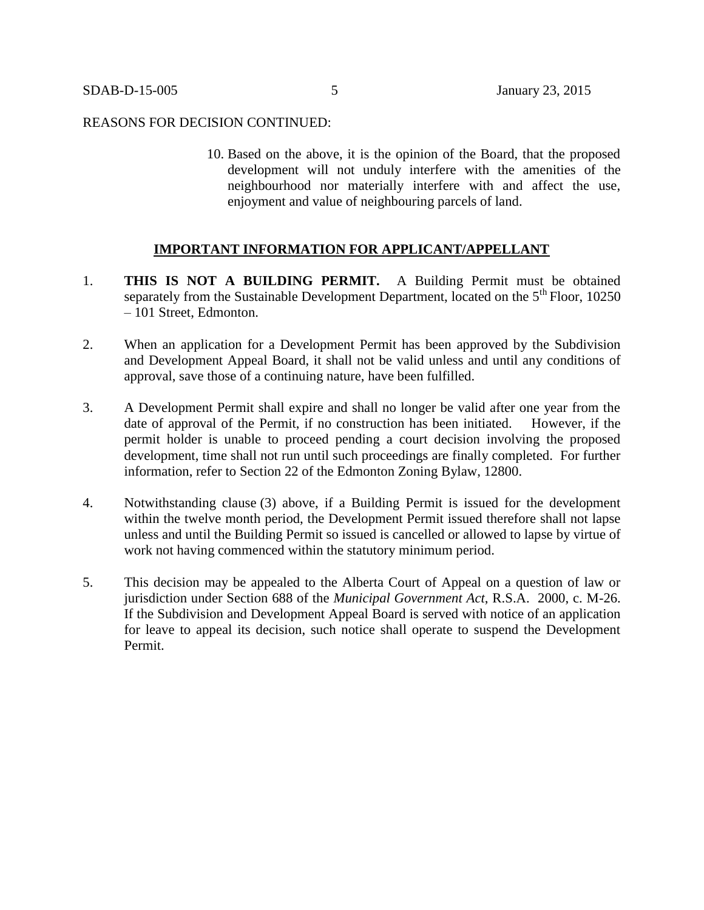### REASONS FOR DECISION CONTINUED:

10. Based on the above, it is the opinion of the Board, that the proposed development will not unduly interfere with the amenities of the neighbourhood nor materially interfere with and affect the use, enjoyment and value of neighbouring parcels of land.

# **IMPORTANT INFORMATION FOR APPLICANT/APPELLANT**

- 1. **THIS IS NOT A BUILDING PERMIT.** A Building Permit must be obtained separately from the Sustainable Development Department, located on the  $5<sup>th</sup>$  Floor, 10250 – 101 Street, Edmonton.
- 2. When an application for a Development Permit has been approved by the Subdivision and Development Appeal Board, it shall not be valid unless and until any conditions of approval, save those of a continuing nature, have been fulfilled.
- 3. A Development Permit shall expire and shall no longer be valid after one year from the date of approval of the Permit, if no construction has been initiated. However, if the permit holder is unable to proceed pending a court decision involving the proposed development, time shall not run until such proceedings are finally completed. For further information, refer to Section 22 of the Edmonton Zoning Bylaw, 12800.
- 4. Notwithstanding clause (3) above, if a Building Permit is issued for the development within the twelve month period, the Development Permit issued therefore shall not lapse unless and until the Building Permit so issued is cancelled or allowed to lapse by virtue of work not having commenced within the statutory minimum period.
- 5. This decision may be appealed to the Alberta Court of Appeal on a question of law or jurisdiction under Section 688 of the *Municipal Government Act*, R.S.A. 2000, c. M-26. If the Subdivision and Development Appeal Board is served with notice of an application for leave to appeal its decision, such notice shall operate to suspend the Development Permit.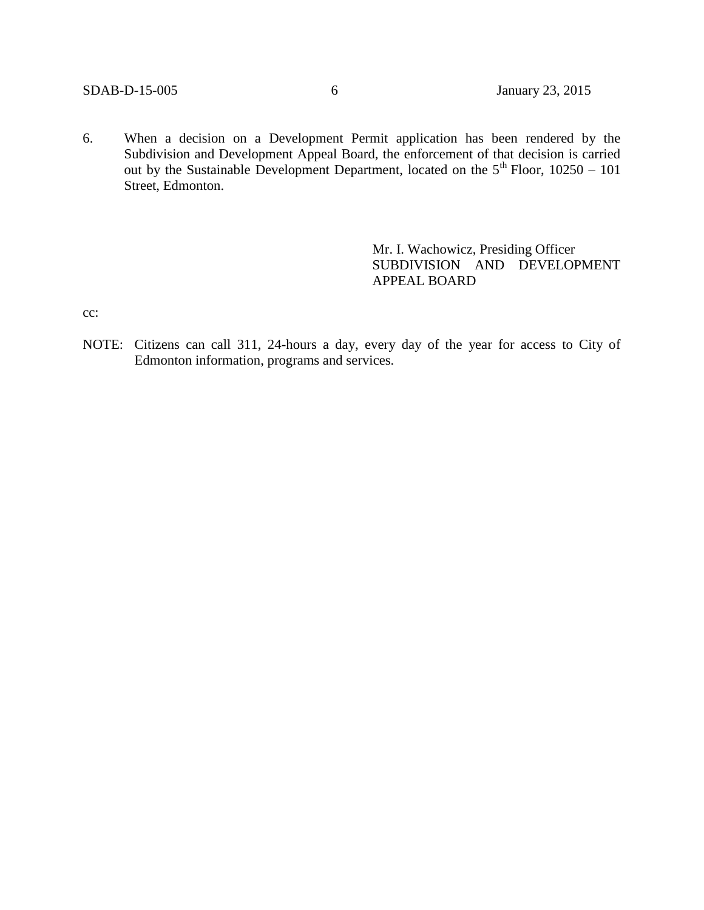6. When a decision on a Development Permit application has been rendered by the Subdivision and Development Appeal Board, the enforcement of that decision is carried out by the Sustainable Development Department, located on the  $5<sup>th</sup>$  Floor, 10250 – 101 Street, Edmonton.

> Mr. I. Wachowicz, Presiding Officer SUBDIVISION AND DEVELOPMENT APPEAL BOARD

cc:

NOTE: Citizens can call 311, 24-hours a day, every day of the year for access to City of Edmonton information, programs and services.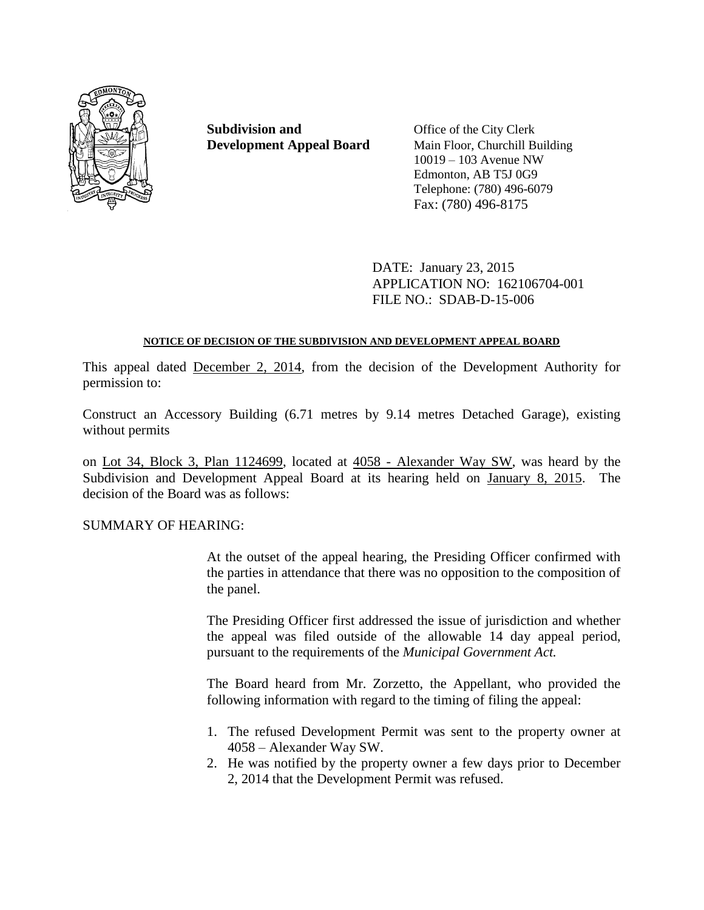

**Subdivision and** Office of the City Clerk

**Development Appeal Board** Main Floor, Churchill Building 10019 – 103 Avenue NW Edmonton, AB T5J 0G9 Telephone: (780) 496-6079 Fax: (780) 496-8175

> DATE: January 23, 2015 APPLICATION NO: 162106704-001 FILE NO.: SDAB-D-15-006

# **NOTICE OF DECISION OF THE SUBDIVISION AND DEVELOPMENT APPEAL BOARD**

This appeal dated December 2, 2014, from the decision of the Development Authority for permission to:

Construct an Accessory Building (6.71 metres by 9.14 metres Detached Garage), existing without permits

on Lot 34, Block 3, Plan 1124699, located at 4058 - Alexander Way SW, was heard by the Subdivision and Development Appeal Board at its hearing held on January 8, 2015. The decision of the Board was as follows:

SUMMARY OF HEARING:

At the outset of the appeal hearing, the Presiding Officer confirmed with the parties in attendance that there was no opposition to the composition of the panel.

The Presiding Officer first addressed the issue of jurisdiction and whether the appeal was filed outside of the allowable 14 day appeal period, pursuant to the requirements of the *Municipal Government Act.*

The Board heard from Mr. Zorzetto, the Appellant, who provided the following information with regard to the timing of filing the appeal:

- 1. The refused Development Permit was sent to the property owner at 4058 – Alexander Way SW.
- 2. He was notified by the property owner a few days prior to December 2, 2014 that the Development Permit was refused.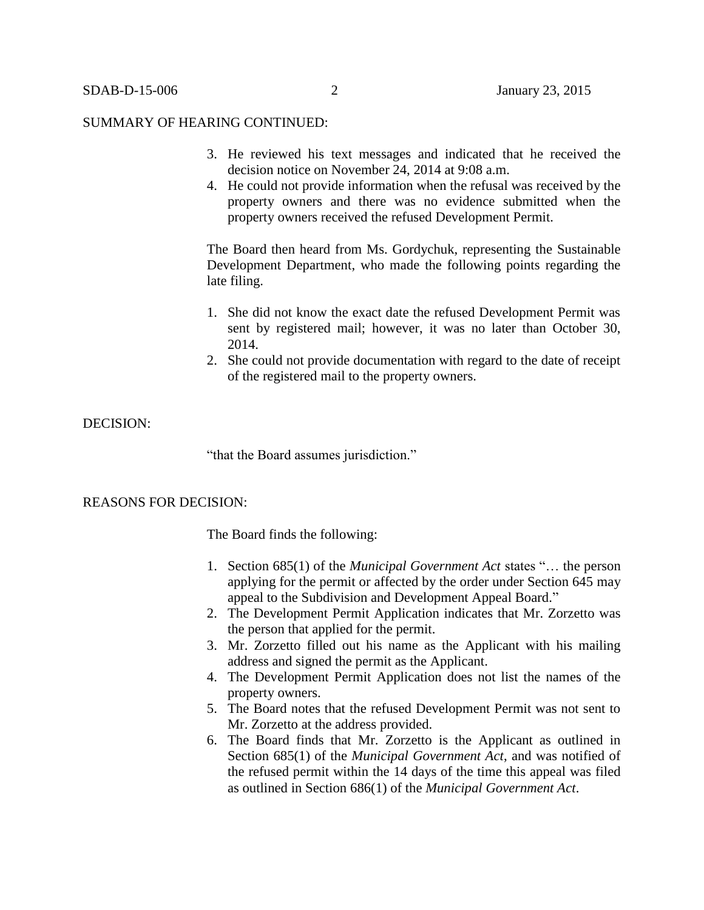- 3. He reviewed his text messages and indicated that he received the decision notice on November 24, 2014 at 9:08 a.m.
- 4. He could not provide information when the refusal was received by the property owners and there was no evidence submitted when the property owners received the refused Development Permit.

The Board then heard from Ms. Gordychuk, representing the Sustainable Development Department, who made the following points regarding the late filing.

- 1. She did not know the exact date the refused Development Permit was sent by registered mail; however, it was no later than October 30, 2014.
- 2. She could not provide documentation with regard to the date of receipt of the registered mail to the property owners.

# DECISION:

"that the Board assumes jurisdiction."

### REASONS FOR DECISION:

The Board finds the following:

- 1. Section 685(1) of the *Municipal Government Act* states "… the person applying for the permit or affected by the order under Section 645 may appeal to the Subdivision and Development Appeal Board."
- 2. The Development Permit Application indicates that Mr. Zorzetto was the person that applied for the permit.
- 3. Mr. Zorzetto filled out his name as the Applicant with his mailing address and signed the permit as the Applicant.
- 4. The Development Permit Application does not list the names of the property owners.
- 5. The Board notes that the refused Development Permit was not sent to Mr. Zorzetto at the address provided.
- 6. The Board finds that Mr. Zorzetto is the Applicant as outlined in Section 685(1) of the *Municipal Government Act*, and was notified of the refused permit within the 14 days of the time this appeal was filed as outlined in Section 686(1) of the *Municipal Government Act*.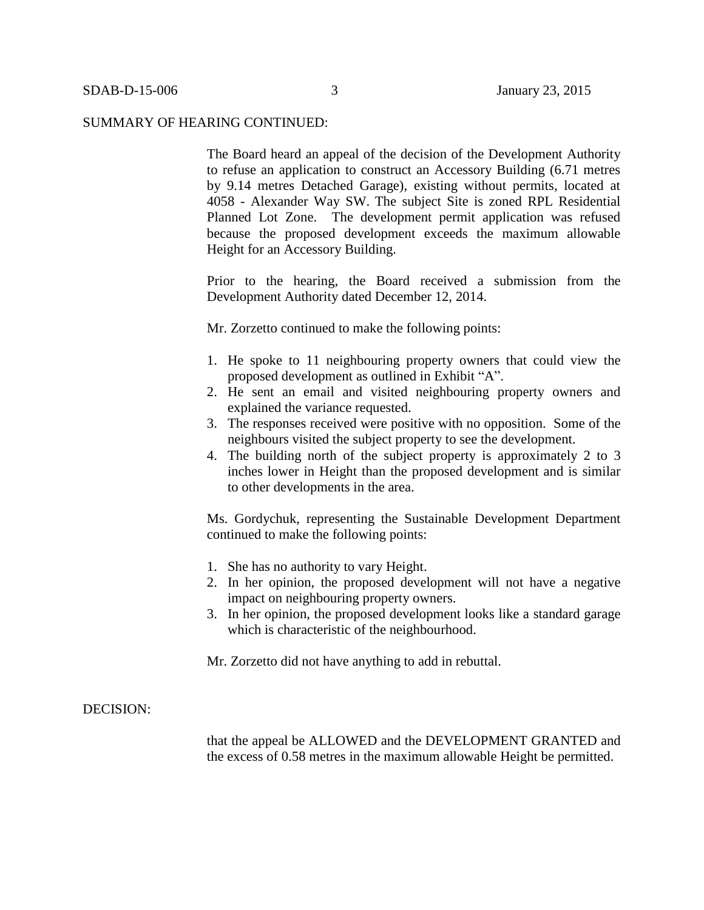The Board heard an appeal of the decision of the Development Authority to refuse an application to construct an Accessory Building (6.71 metres by 9.14 metres Detached Garage), existing without permits, located at 4058 - Alexander Way SW. The subject Site is zoned RPL Residential Planned Lot Zone. The development permit application was refused because the proposed development exceeds the maximum allowable Height for an Accessory Building.

Prior to the hearing, the Board received a submission from the Development Authority dated December 12, 2014.

Mr. Zorzetto continued to make the following points:

- 1. He spoke to 11 neighbouring property owners that could view the proposed development as outlined in Exhibit "A".
- 2. He sent an email and visited neighbouring property owners and explained the variance requested.
- 3. The responses received were positive with no opposition. Some of the neighbours visited the subject property to see the development.
- 4. The building north of the subject property is approximately 2 to 3 inches lower in Height than the proposed development and is similar to other developments in the area.

Ms. Gordychuk, representing the Sustainable Development Department continued to make the following points:

- 1. She has no authority to vary Height.
- 2. In her opinion, the proposed development will not have a negative impact on neighbouring property owners.
- 3. In her opinion, the proposed development looks like a standard garage which is characteristic of the neighbourhood.

Mr. Zorzetto did not have anything to add in rebuttal.

### DECISION:

that the appeal be ALLOWED and the DEVELOPMENT GRANTED and the excess of 0.58 metres in the maximum allowable Height be permitted.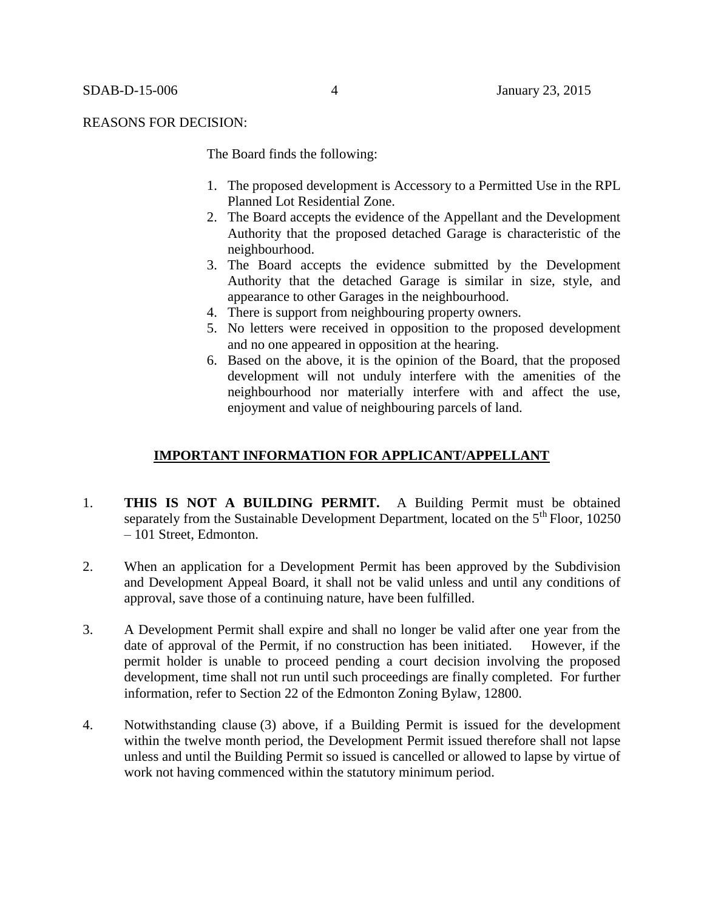#### REASONS FOR DECISION:

The Board finds the following:

- 1. The proposed development is Accessory to a Permitted Use in the RPL Planned Lot Residential Zone.
- 2. The Board accepts the evidence of the Appellant and the Development Authority that the proposed detached Garage is characteristic of the neighbourhood.
- 3. The Board accepts the evidence submitted by the Development Authority that the detached Garage is similar in size, style, and appearance to other Garages in the neighbourhood.
- 4. There is support from neighbouring property owners.
- 5. No letters were received in opposition to the proposed development and no one appeared in opposition at the hearing.
- 6. Based on the above, it is the opinion of the Board, that the proposed development will not unduly interfere with the amenities of the neighbourhood nor materially interfere with and affect the use, enjoyment and value of neighbouring parcels of land.

### **IMPORTANT INFORMATION FOR APPLICANT/APPELLANT**

- 1. **THIS IS NOT A BUILDING PERMIT.** A Building Permit must be obtained separately from the Sustainable Development Department, located on the  $5<sup>th</sup>$  Floor, 10250 – 101 Street, Edmonton.
- 2. When an application for a Development Permit has been approved by the Subdivision and Development Appeal Board, it shall not be valid unless and until any conditions of approval, save those of a continuing nature, have been fulfilled.
- 3. A Development Permit shall expire and shall no longer be valid after one year from the date of approval of the Permit, if no construction has been initiated. However, if the permit holder is unable to proceed pending a court decision involving the proposed development, time shall not run until such proceedings are finally completed. For further information, refer to Section 22 of the Edmonton Zoning Bylaw, 12800.
- 4. Notwithstanding clause (3) above, if a Building Permit is issued for the development within the twelve month period, the Development Permit issued therefore shall not lapse unless and until the Building Permit so issued is cancelled or allowed to lapse by virtue of work not having commenced within the statutory minimum period.